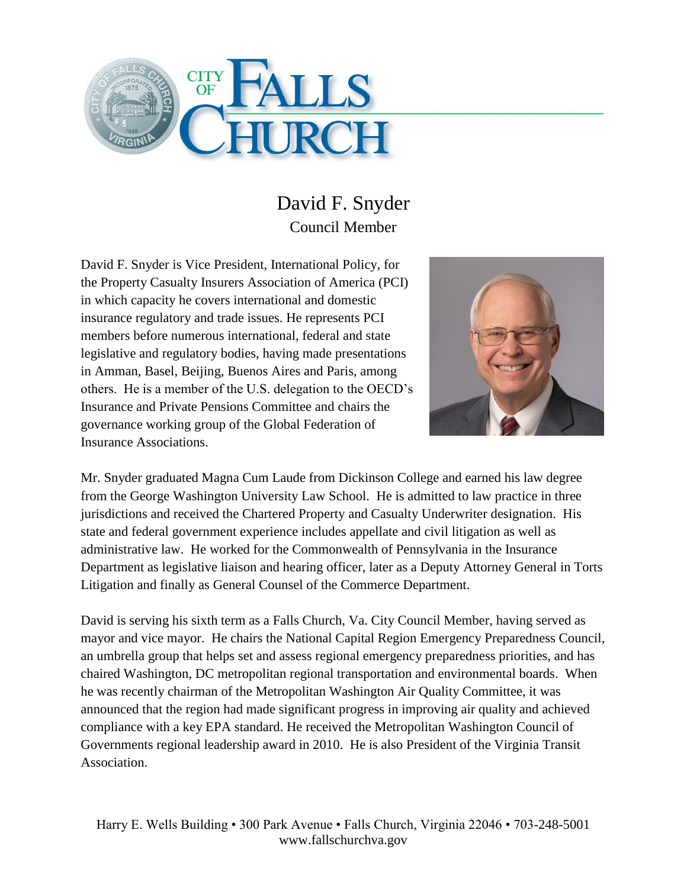

## David F. Snyder Council Member

David F. Snyder is Vice President, International Policy, for the Property Casualty Insurers Association of America (PCI) in which capacity he covers international and domestic insurance regulatory and trade issues. He represents PCI members before numerous international, federal and state legislative and regulatory bodies, having made presentations in Amman, Basel, Beijing, Buenos Aires and Paris, among others. He is a member of the U.S. delegation to the OECD's Insurance and Private Pensions Committee and chairs the governance working group of the Global Federation of Insurance Associations.



Mr. Snyder graduated Magna Cum Laude from Dickinson College and earned his law degree from the George Washington University Law School. He is admitted to law practice in three jurisdictions and received the Chartered Property and Casualty Underwriter designation. His state and federal government experience includes appellate and civil litigation as well as administrative law. He worked for the Commonwealth of Pennsylvania in the Insurance Department as legislative liaison and hearing officer, later as a Deputy Attorney General in Torts Litigation and finally as General Counsel of the Commerce Department.

David is serving his sixth term as a Falls Church, Va. City Council Member, having served as mayor and vice mayor. He chairs the National Capital Region Emergency Preparedness Council, an umbrella group that helps set and assess regional emergency preparedness priorities, and has chaired Washington, DC metropolitan regional transportation and environmental boards. When he was recently chairman of the Metropolitan Washington Air Quality Committee, it was announced that the region had made significant progress in improving air quality and achieved compliance with a key EPA standard. He received the Metropolitan Washington Council of Governments regional leadership award in 2010. He is also President of the Virginia Transit Association.

Harry E. Wells Building • 300 Park Avenue • Falls Church, Virginia 22046 • 703-248-5001 www.fallschurchva.gov